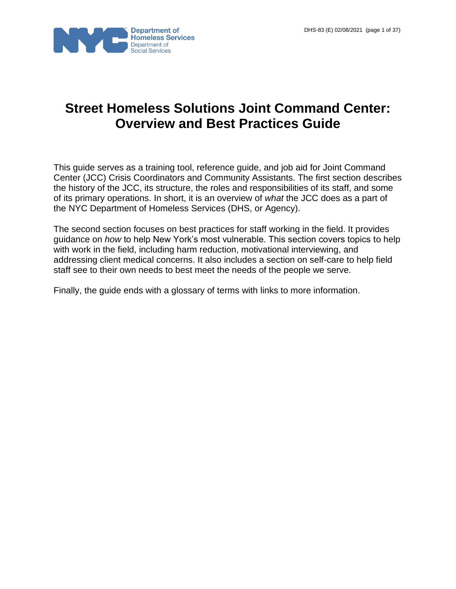

# **Street Homeless Solutions Joint Command Center: Overview and Best Practices Guide**

This guide serves as a training tool, reference guide, and job aid for Joint Command Center (JCC) Crisis Coordinators and Community Assistants. The first section describes the history of the JCC, its structure, the roles and responsibilities of its staff, and some of its primary operations. In short, it is an overview of *what* the JCC does as a part of the NYC Department of Homeless Services (DHS, or Agency).

The second section focuses on best practices for staff working in the field. It provides guidance on *how* to help New York's most vulnerable. This section covers topics to help with work in the field, including harm reduction, motivational interviewing, and addressing client medical concerns. It also includes a section on self-care to help field staff see to their own needs to best meet the needs of the people we serve.

Finally, the guide ends with a glossary of terms with links to more information.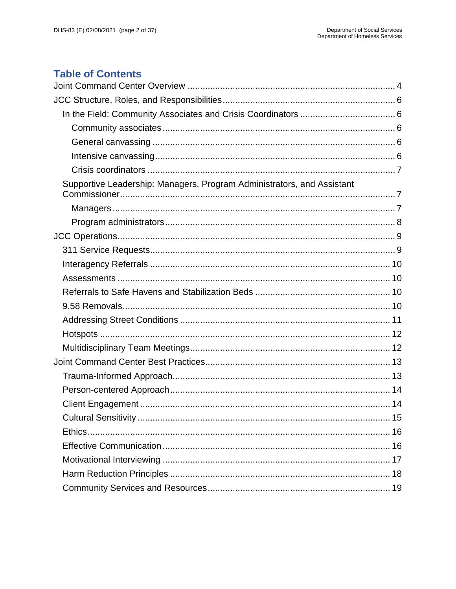# **Table of Contents**

| Supportive Leadership: Managers, Program Administrators, and Assistant |  |
|------------------------------------------------------------------------|--|
|                                                                        |  |
|                                                                        |  |
|                                                                        |  |
|                                                                        |  |
|                                                                        |  |
|                                                                        |  |
|                                                                        |  |
|                                                                        |  |
|                                                                        |  |
|                                                                        |  |
|                                                                        |  |
|                                                                        |  |
|                                                                        |  |
|                                                                        |  |
|                                                                        |  |
|                                                                        |  |
| Ethics                                                                 |  |
|                                                                        |  |
|                                                                        |  |
|                                                                        |  |
|                                                                        |  |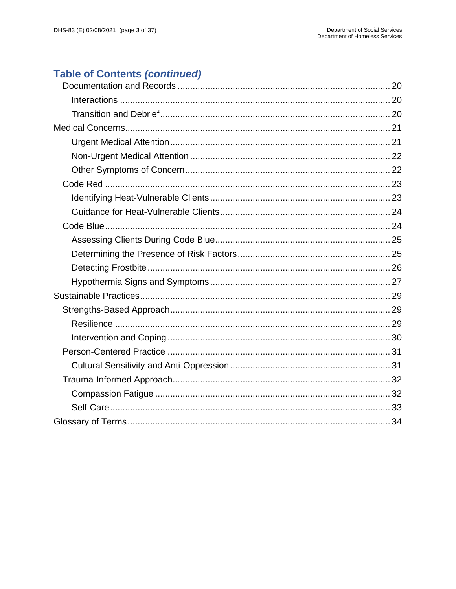# **Table of Contents (continued)**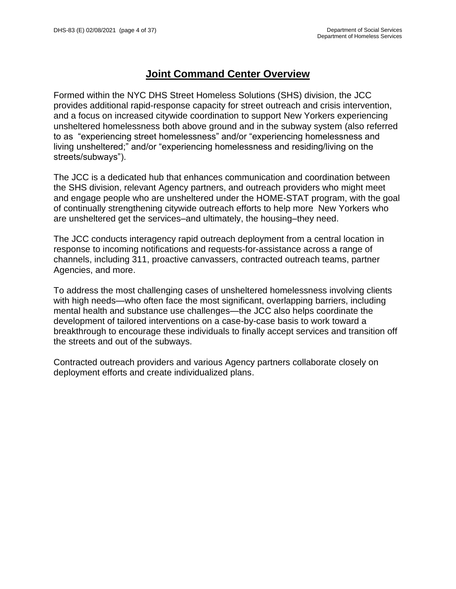### **Joint Command Center Overview**

<span id="page-3-0"></span>Formed within the NYC DHS Street Homeless Solutions (SHS) division, the JCC provides additional rapid-response capacity for street outreach and crisis intervention, and a focus on increased citywide coordination to support New Yorkers experiencing unsheltered homelessness both above ground and in the subway system (also referred to as "experiencing street homelessness" and/or "experiencing homelessness and living unsheltered;" and/or "experiencing homelessness and residing/living on the streets/subways").

The JCC is a dedicated hub that enhances communication and coordination between the SHS division, relevant Agency partners, and outreach providers who might meet and engage people who are unsheltered under the HOME-STAT program, with the goal of continually strengthening citywide outreach efforts to help more New Yorkers who are unsheltered get the services–and ultimately, the housing–they need.

The JCC conducts interagency rapid outreach deployment from a central location in response to incoming notifications and requests-for-assistance across a range of channels, including 311, proactive canvassers, contracted outreach teams, partner Agencies, and more.

To address the most challenging cases of unsheltered homelessness involving clients with high needs—who often face the most significant, overlapping barriers, including mental health and substance use challenges—the JCC also helps coordinate the development of tailored interventions on a case-by-case basis to work toward a breakthrough to encourage these individuals to finally accept services and transition off the streets and out of the subways.

Contracted outreach providers and various Agency partners collaborate closely on deployment efforts and create individualized plans.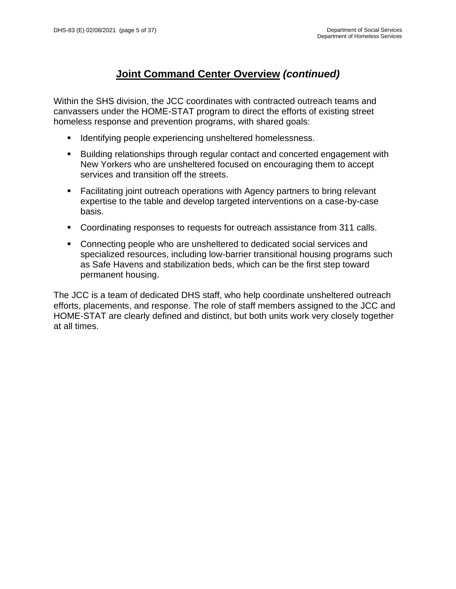### **Joint Command Center Overview** *(continued)*

Within the SHS division, the JCC coordinates with contracted outreach teams and canvassers under the HOME-STAT program to direct the efforts of existing street homeless response and prevention programs, with shared goals:

- **E** Identifying people experiencing unsheltered homelessness.
- Building relationships through regular contact and concerted engagement with New Yorkers who are unsheltered focused on encouraging them to accept services and transition off the streets.
- Facilitating joint outreach operations with Agency partners to bring relevant expertise to the table and develop targeted interventions on a case-by-case basis.
- Coordinating responses to requests for outreach assistance from 311 calls.
- Connecting people who are unsheltered to dedicated social services and specialized resources, including low-barrier transitional housing programs such as Safe Havens and stabilization beds, which can be the first step toward permanent housing.

The JCC is a team of dedicated DHS staff, who help coordinate unsheltered outreach efforts, placements, and response. The role of staff members assigned to the JCC and HOME-STAT are clearly defined and distinct, but both units work very closely together at all times.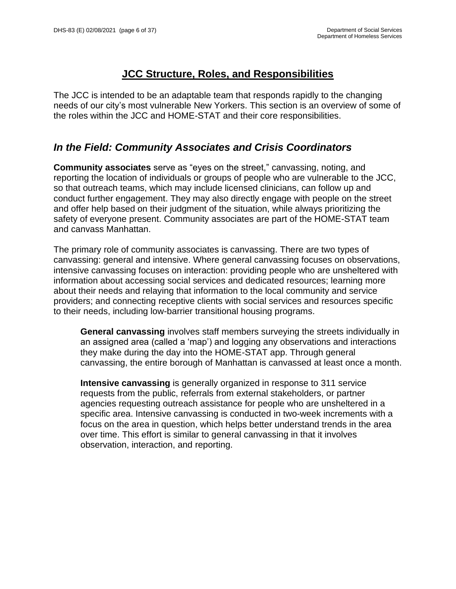### **JCC Structure, Roles, and Responsibilities**

<span id="page-5-0"></span>The JCC is intended to be an adaptable team that responds rapidly to the changing needs of our city's most vulnerable New Yorkers. This section is an overview of some of the roles within the JCC and HOME-STAT and their core responsibilities.

### <span id="page-5-1"></span>*In the Field: Community Associates and Crisis Coordinators*

<span id="page-5-2"></span>**Community associates** serve as "eyes on the street," canvassing, noting, and reporting the location of individuals or groups of people who are vulnerable to the JCC, so that outreach teams, which may include licensed clinicians, can follow up and conduct further engagement. They may also directly engage with people on the street and offer help based on their judgment of the situation, while always prioritizing the safety of everyone present. Community associates are part of the HOME-STAT team and canvass Manhattan.

The primary role of community associates is canvassing. There are two types of canvassing: general and intensive. Where general canvassing focuses on observations, intensive canvassing focuses on interaction: providing people who are unsheltered with information about accessing social services and dedicated resources; learning more about their needs and relaying that information to the local community and service providers; and connecting receptive clients with social services and resources specific to their needs, including low-barrier transitional housing programs.

<span id="page-5-3"></span>**General canvassing** involves staff members surveying the streets individually in an assigned area (called a 'map') and logging any observations and interactions they make during the day into the HOME-STAT app. Through general canvassing, the entire borough of Manhattan is canvassed at least once a month.

<span id="page-5-4"></span>**Intensive canvassing** is generally organized in response to 311 service requests from the public, referrals from external stakeholders, or partner agencies requesting outreach assistance for people who are unsheltered in a specific area. Intensive canvassing is conducted in two-week increments with a focus on the area in question, which helps better understand trends in the area over time. This effort is similar to general canvassing in that it involves observation, interaction, and reporting.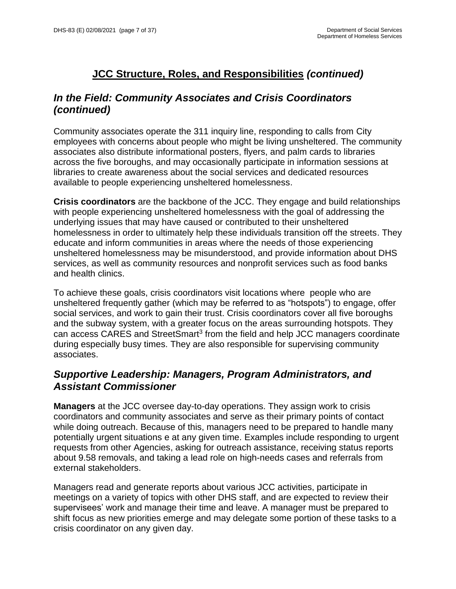# <span id="page-6-0"></span>**JCC Structure, Roles, and Responsibilities** *(continued)*

### *In the Field: Community Associates and Crisis Coordinators (continued)*

Community associates operate the 311 inquiry line, responding to calls from City employees with concerns about people who might be living unsheltered. The community associates also distribute informational posters, flyers, and palm cards to libraries across the five boroughs, and may occasionally participate in information sessions at libraries to create awareness about the social services and dedicated resources available to people experiencing unsheltered homelessness.

**Crisis coordinators** are the backbone of the JCC. They engage and build relationships with people experiencing unsheltered homelessness with the goal of addressing the underlying issues that may have caused or contributed to their unsheltered homelessness in order to ultimately help these individuals transition off the streets. They educate and inform communities in areas where the needs of those experiencing unsheltered homelessness may be misunderstood, and provide information about DHS services, as well as community resources and nonprofit services such as food banks and health clinics.

To achieve these goals, crisis coordinators visit locations where people who are unsheltered frequently gather (which may be referred to as "hotspots") to engage, offer social services, and work to gain their trust. Crisis coordinators cover all five boroughs and the subway system, with a greater focus on the areas surrounding hotspots. They can access CARES and StreetSmart<sup>3</sup> from the field and help JCC managers coordinate during especially busy times. They are also responsible for supervising community associates.

### <span id="page-6-1"></span>*Supportive Leadership: Managers, Program Administrators, and Assistant Commissioner*

<span id="page-6-2"></span>**Managers** at the JCC oversee day-to-day operations. They assign work to crisis coordinators and community associates and serve as their primary points of contact while doing outreach. Because of this, managers need to be prepared to handle many potentially urgent situations e at any given time. Examples include responding to urgent requests from other Agencies, asking for outreach assistance, receiving status reports about 9.58 removals, and taking a lead role on high-needs cases and referrals from external stakeholders.

Managers read and generate reports about various JCC activities, participate in meetings on a variety of topics with other DHS staff, and are expected to review their supervisees' work and manage their time and leave. A manager must be prepared to shift focus as new priorities emerge and may delegate some portion of these tasks to a crisis coordinator on any given day.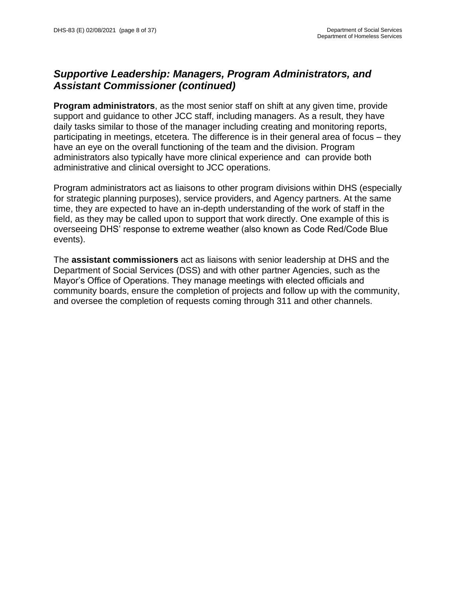### *Supportive Leadership: Managers, Program Administrators, and Assistant Commissioner (continued)*

<span id="page-7-0"></span>**Program administrators**, as the most senior staff on shift at any given time, provide support and guidance to other JCC staff, including managers. As a result, they have daily tasks similar to those of the manager including creating and monitoring reports, participating in meetings, etcetera. The difference is in their general area of focus – they have an eye on the overall functioning of the team and the division. Program administrators also typically have more clinical experience and can provide both administrative and clinical oversight to JCC operations.

Program administrators act as liaisons to other program divisions within DHS (especially for strategic planning purposes), service providers, and Agency partners. At the same time, they are expected to have an in-depth understanding of the work of staff in the field, as they may be called upon to support that work directly. One example of this is overseeing DHS' response to extreme weather (also known as Code Red/Code Blue events).

The **assistant commissioners** act as liaisons with senior leadership at DHS and the Department of Social Services (DSS) and with other partner Agencies, such as the Mayor's Office of Operations. They manage meetings with elected officials and community boards, ensure the completion of projects and follow up with the community, and oversee the completion of requests coming through 311 and other channels.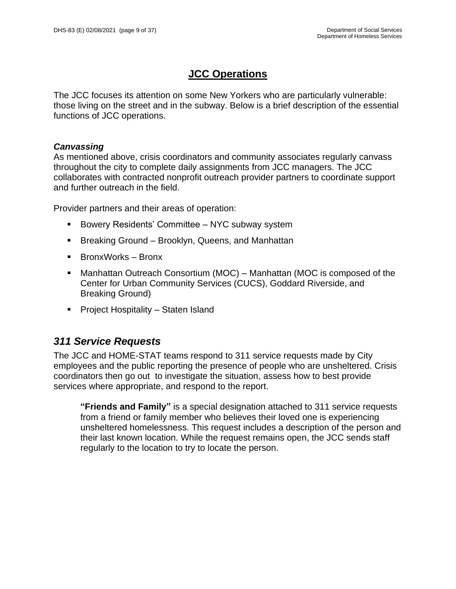### **JCC Operations**

<span id="page-8-0"></span>The JCC focuses its attention on some New Yorkers who are particularly vulnerable: those living on the street and in the subway. Below is a brief description of the essential functions of JCC operations.

#### *Canvassing*

As mentioned above, crisis coordinators and community associates regularly canvass throughout the city to complete daily assignments from JCC managers. The JCC collaborates with contracted nonprofit outreach provider partners to coordinate support and further outreach in the field.

Provider partners and their areas of operation:

- Bowery Residents' Committee NYC subway system
- Breaking Ground Brooklyn, Queens, and Manhattan
- BronxWorks Bronx
- Manhattan Outreach Consortium (MOC) Manhattan (MOC is composed of the Center for Urban Community Services (CUCS), Goddard Riverside, and Breaking Ground)
- Project Hospitality Staten Island

### <span id="page-8-1"></span>*311 Service Requests*

The JCC and HOME-STAT teams respond to 311 service requests made by City employees and the public reporting the presence of people who are unsheltered. Crisis coordinators then go out to investigate the situation, assess how to best provide services where appropriate, and respond to the report.

**"Friends and Family"** is a special designation attached to 311 service requests from a friend or family member who believes their loved one is experiencing unsheltered homelessness. This request includes a description of the person and their last known location. While the request remains open, the JCC sends staff regularly to the location to try to locate the person.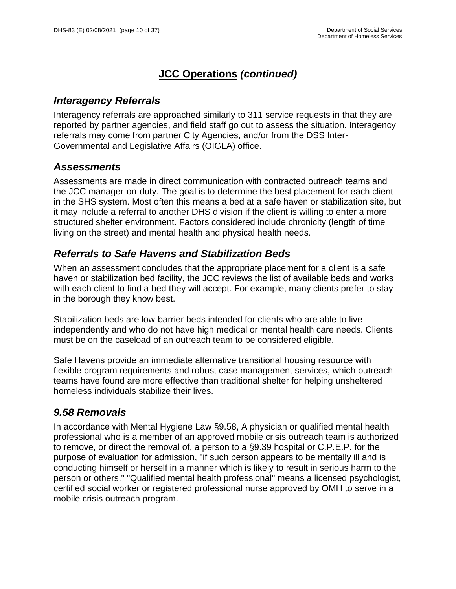# <span id="page-9-0"></span>**JCC Operations** *(continued)*

# *Interagency Referrals*

Interagency referrals are approached similarly to 311 service requests in that they are reported by partner agencies, and field staff go out to assess the situation. Interagency referrals may come from partner City Agencies, and/or from the DSS Inter-Governmental and Legislative Affairs (OIGLA) office.

### <span id="page-9-1"></span>*Assessments*

Assessments are made in direct communication with contracted outreach teams and the JCC manager-on-duty. The goal is to determine the best placement for each client in the SHS system. Most often this means a bed at a safe haven or stabilization site, but it may include a referral to another DHS division if the client is willing to enter a more structured shelter environment. Factors considered include chronicity (length of time living on the street) and mental health and physical health needs.

# <span id="page-9-2"></span>*Referrals to Safe Havens and Stabilization Beds*

When an assessment concludes that the appropriate placement for a client is a safe haven or stabilization bed facility, the JCC reviews the list of available beds and works with each client to find a bed they will accept. For example, many clients prefer to stay in the borough they know best.

Stabilization beds are low-barrier beds intended for clients who are able to live independently and who do not have high medical or mental health care needs. Clients must be on the caseload of an outreach team to be considered eligible.

Safe Havens provide an immediate alternative transitional housing resource with flexible program requirements and robust case management services, which outreach teams have found are more effective than traditional shelter for helping unsheltered homeless individuals stabilize their lives.

### <span id="page-9-3"></span>*9.58 Removals*

In accordance with Mental Hygiene Law §9.58, A physician or qualified mental health professional who is a member of an approved mobile crisis outreach team is authorized to remove, or direct the removal of, a person to a §9.39 hospital or C.P.E.P. for the purpose of evaluation for admission, "if such person appears to be mentally ill and is conducting himself or herself in a manner which is likely to result in serious harm to the person or others." "Qualified mental health professional" means a licensed psychologist, certified social worker or registered professional nurse approved by OMH to serve in a mobile crisis outreach program.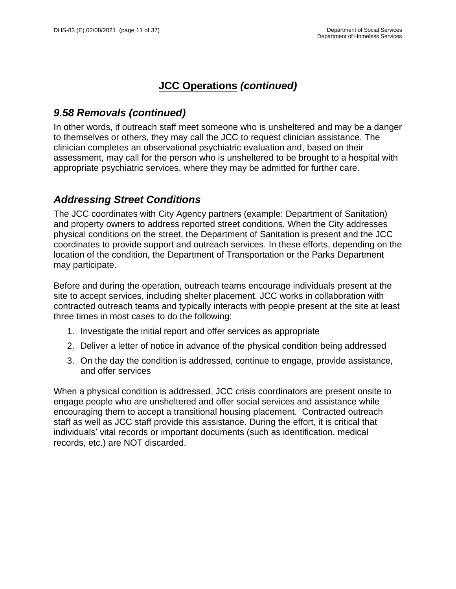# **JCC Operations** *(continued)*

### *9.58 Removals (continued)*

In other words, if outreach staff meet someone who is unsheltered and may be a danger to themselves or others, they may call the JCC to request clinician assistance. The clinician completes an observational psychiatric evaluation and, based on their assessment, may call for the person who is unsheltered to be brought to a hospital with appropriate psychiatric services, where they may be admitted for further care.

### <span id="page-10-0"></span>*Addressing Street Conditions*

The JCC coordinates with City Agency partners (example: Department of Sanitation) and property owners to address reported street conditions. When the City addresses physical conditions on the street, the Department of Sanitation is present and the JCC coordinates to provide support and outreach services. In these efforts, depending on the location of the condition, the Department of Transportation or the Parks Department may participate.

Before and during the operation, outreach teams encourage individuals present at the site to accept services, including shelter placement. JCC works in collaboration with contracted outreach teams and typically interacts with people present at the site at least three times in most cases to do the following:

- 1. Investigate the initial report and offer services as appropriate
- 2. Deliver a letter of notice in advance of the physical condition being addressed
- 3. On the day the condition is addressed, continue to engage, provide assistance, and offer services

When a physical condition is addressed, JCC crisis coordinators are present onsite to engage people who are unsheltered and offer social services and assistance while encouraging them to accept a transitional housing placement. Contracted outreach staff as well as JCC staff provide this assistance. During the effort, it is critical that individuals' vital records or important documents (such as identification, medical records, etc.) are NOT discarded.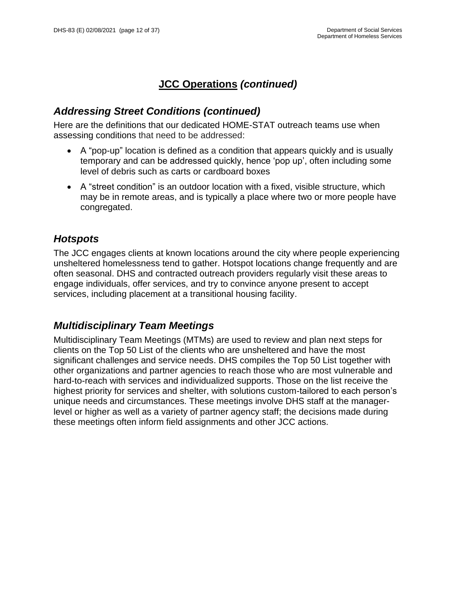### **JCC Operations** *(continued)*

### *Addressing Street Conditions (continued)*

Here are the definitions that our dedicated HOME-STAT outreach teams use when assessing conditions that need to be addressed:

- A "pop-up" location is defined as a condition that appears quickly and is usually temporary and can be addressed quickly, hence 'pop up', often including some level of debris such as carts or cardboard boxes
- A "street condition" is an outdoor location with a fixed, visible structure, which may be in remote areas, and is typically a place where two or more people have congregated.

### <span id="page-11-0"></span>*Hotspots*

The JCC engages clients at known locations around the city where people experiencing unsheltered homelessness tend to gather. Hotspot locations change frequently and are often seasonal. DHS and contracted outreach providers regularly visit these areas to engage individuals, offer services, and try to convince anyone present to accept services, including placement at a transitional housing facility.

### <span id="page-11-1"></span>*Multidisciplinary Team Meetings*

Multidisciplinary Team Meetings (MTMs) are used to review and plan next steps for clients on the Top 50 List of the clients who are unsheltered and have the most significant challenges and service needs. DHS compiles the Top 50 List together with other organizations and partner agencies to reach those who are most vulnerable and hard-to-reach with services and individualized supports. Those on the list receive the highest priority for services and shelter, with solutions custom-tailored to each person's unique needs and circumstances. These meetings involve DHS staff at the managerlevel or higher as well as a variety of partner agency staff; the decisions made during these meetings often inform field assignments and other JCC actions.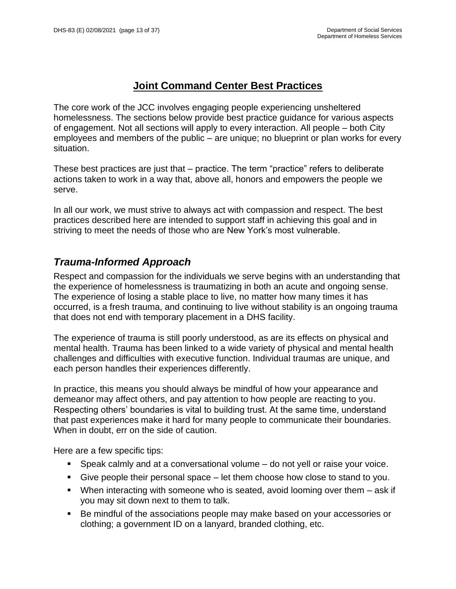### **Joint Command Center Best Practices**

<span id="page-12-0"></span>The core work of the JCC involves engaging people experiencing unsheltered homelessness. The sections below provide best practice guidance for various aspects of engagement. Not all sections will apply to every interaction. All people – both City employees and members of the public – are unique; no blueprint or plan works for every situation.

These best practices are just that – practice. The term "practice" refers to deliberate actions taken to work in a way that, above all, honors and empowers the people we serve.

In all our work, we must strive to always act with compassion and respect. The best practices described here are intended to support staff in achieving this goal and in striving to meet the needs of those who are New York's most vulnerable.

### <span id="page-12-1"></span>*Trauma-Informed Approach*

Respect and compassion for the individuals we serve begins with an understanding that the experience of homelessness is traumatizing in both an acute and ongoing sense. The experience of losing a stable place to live, no matter how many times it has occurred, is a fresh trauma, and continuing to live without stability is an ongoing trauma that does not end with temporary placement in a DHS facility.

The experience of trauma is still poorly understood, as are its effects on physical and mental health. Trauma has been linked to a wide variety of physical and mental health challenges and difficulties with executive function. Individual traumas are unique, and each person handles their experiences differently.

In practice, this means you should always be mindful of how your appearance and demeanor may affect others, and pay attention to how people are reacting to you. Respecting others' boundaries is vital to building trust. At the same time, understand that past experiences make it hard for many people to communicate their boundaries. When in doubt, err on the side of caution.

Here are a few specific tips:

- Speak calmly and at a conversational volume do not yell or raise your voice.
- Give people their personal space let them choose how close to stand to you.
- When interacting with someone who is seated, avoid looming over them ask if you may sit down next to them to talk.
- Be mindful of the associations people may make based on your accessories or clothing; a government ID on a lanyard, branded clothing, etc.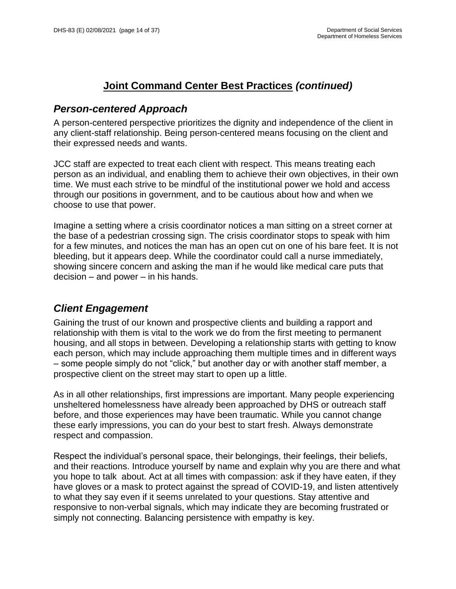### <span id="page-13-0"></span>*Person-centered Approach*

A person-centered perspective prioritizes the dignity and independence of the client in any client-staff relationship. Being person-centered means focusing on the client and their expressed needs and wants.

JCC staff are expected to treat each client with respect. This means treating each person as an individual, and enabling them to achieve their own objectives, in their own time. We must each strive to be mindful of the institutional power we hold and access through our positions in government, and to be cautious about how and when we choose to use that power.

Imagine a setting where a crisis coordinator notices a man sitting on a street corner at the base of a pedestrian crossing sign. The crisis coordinator stops to speak with him for a few minutes, and notices the man has an open cut on one of his bare feet. It is not bleeding, but it appears deep. While the coordinator could call a nurse immediately, showing sincere concern and asking the man if he would like medical care puts that decision – and power – in his hands.

### <span id="page-13-1"></span>*Client Engagement*

Gaining the trust of our known and prospective clients and building a rapport and relationship with them is vital to the work we do from the first meeting to permanent housing, and all stops in between. Developing a relationship starts with getting to know each person, which may include approaching them multiple times and in different ways – some people simply do not "click," but another day or with another staff member, a prospective client on the street may start to open up a little.

As in all other relationships, first impressions are important. Many people experiencing unsheltered homelessness have already been approached by DHS or outreach staff before, and those experiences may have been traumatic. While you cannot change these early impressions, you can do your best to start fresh. Always demonstrate respect and compassion.

Respect the individual's personal space, their belongings, their feelings, their beliefs, and their reactions. Introduce yourself by name and explain why you are there and what you hope to talk about. Act at all times with compassion: ask if they have eaten, if they have gloves or a mask to protect against the spread of COVID-19, and listen attentively to what they say even if it seems unrelated to your questions. Stay attentive and responsive to non-verbal signals, which may indicate they are becoming frustrated or simply not connecting. Balancing persistence with empathy is key.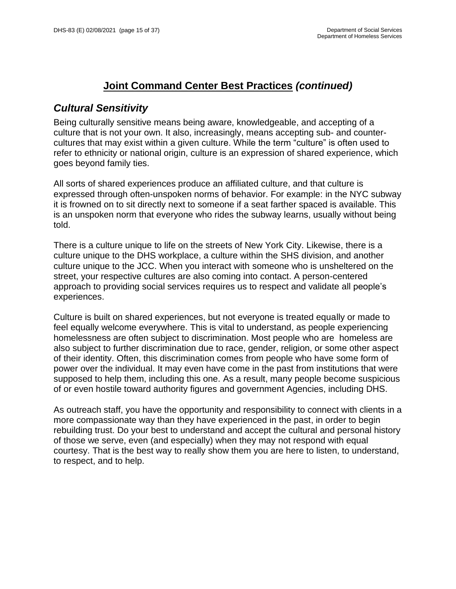### <span id="page-14-0"></span>*Cultural Sensitivity*

Being culturally sensitive means being aware, knowledgeable, and accepting of a culture that is not your own. It also, increasingly, means accepting sub- and countercultures that may exist within a given culture. While the term "culture" is often used to refer to ethnicity or national origin, culture is an expression of shared experience, which goes beyond family ties.

All sorts of shared experiences produce an affiliated culture, and that culture is expressed through often-unspoken norms of behavior. For example: in the NYC subway it is frowned on to sit directly next to someone if a seat farther spaced is available. This is an unspoken norm that everyone who rides the subway learns, usually without being told.

There is a culture unique to life on the streets of New York City. Likewise, there is a culture unique to the DHS workplace, a culture within the SHS division, and another culture unique to the JCC. When you interact with someone who is unsheltered on the street, your respective cultures are also coming into contact. A person-centered approach to providing social services requires us to respect and validate all people's experiences.

Culture is built on shared experiences, but not everyone is treated equally or made to feel equally welcome everywhere. This is vital to understand, as people experiencing homelessness are often subject to discrimination. Most people who are homeless are also subject to further discrimination due to race, gender, religion, or some other aspect of their identity. Often, this discrimination comes from people who have some form of power over the individual. It may even have come in the past from institutions that were supposed to help them, including this one. As a result, many people become suspicious of or even hostile toward authority figures and government Agencies, including DHS.

<span id="page-14-1"></span>As outreach staff, you have the opportunity and responsibility to connect with clients in a more compassionate way than they have experienced in the past, in order to begin rebuilding trust. Do your best to understand and accept the cultural and personal history of those we serve, even (and especially) when they may not respond with equal courtesy. That is the best way to really show them you are here to listen, to understand, to respect, and to help.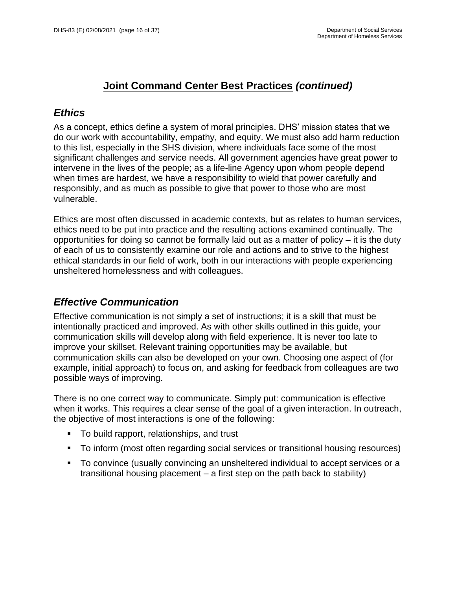### *Ethics*

As a concept, ethics define a system of moral principles. DHS' mission states that we do our work with accountability, empathy, and equity. We must also add harm reduction to this list, especially in the SHS division, where individuals face some of the most significant challenges and service needs. All government agencies have great power to intervene in the lives of the people; as a life-line Agency upon whom people depend when times are hardest, we have a responsibility to wield that power carefully and responsibly, and as much as possible to give that power to those who are most vulnerable.

Ethics are most often discussed in academic contexts, but as relates to human services, ethics need to be put into practice and the resulting actions examined continually. The opportunities for doing so cannot be formally laid out as a matter of policy – it is the duty of each of us to consistently examine our role and actions and to strive to the highest ethical standards in our field of work, both in our interactions with people experiencing unsheltered homelessness and with colleagues.

### <span id="page-15-0"></span>*Effective Communication*

Effective communication is not simply a set of instructions; it is a skill that must be intentionally practiced and improved. As with other skills outlined in this guide, your communication skills will develop along with field experience. It is never too late to improve your skillset. Relevant training opportunities may be available, but communication skills can also be developed on your own. Choosing one aspect of (for example, initial approach) to focus on, and asking for feedback from colleagues are two possible ways of improving.

There is no one correct way to communicate. Simply put: communication is effective when it works. This requires a clear sense of the goal of a given interaction. In outreach, the objective of most interactions is one of the following:

- To build rapport, relationships, and trust
- To inform (most often regarding social services or transitional housing resources)
- To convince (usually convincing an unsheltered individual to accept services or a transitional housing placement – a first step on the path back to stability)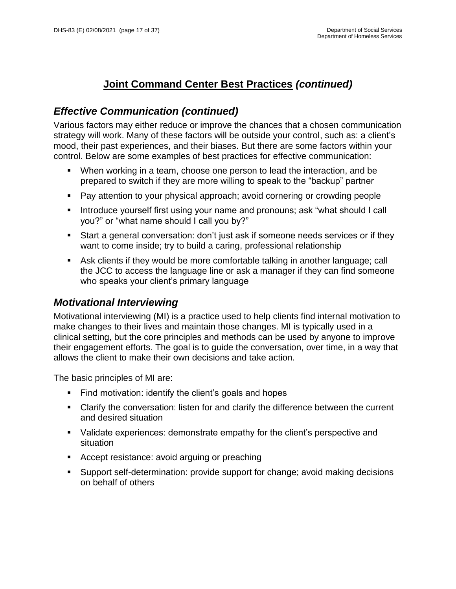### *Effective Communication (continued)*

Various factors may either reduce or improve the chances that a chosen communication strategy will work. Many of these factors will be outside your control, such as: a client's mood, their past experiences, and their biases. But there are some factors within your control. Below are some examples of best practices for effective communication:

- When working in a team, choose one person to lead the interaction, and be prepared to switch if they are more willing to speak to the "backup" partner
- Pay attention to your physical approach; avoid cornering or crowding people
- Introduce yourself first using your name and pronouns; ask "what should I call you?" or "what name should I call you by?"
- Start a general conversation: don't just ask if someone needs services or if they want to come inside; try to build a caring, professional relationship
- Ask clients if they would be more comfortable talking in another language; call the JCC to access the language line or ask a manager if they can find someone who speaks your client's primary language

### <span id="page-16-0"></span>*Motivational Interviewing*

Motivational interviewing (MI) is a practice used to help clients find internal motivation to make changes to their lives and maintain those changes. MI is typically used in a clinical setting, but the core principles and methods can be used by anyone to improve their engagement efforts. The goal is to guide the conversation, over time, in a way that allows the client to make their own decisions and take action.

The basic principles of MI are:

- Find motivation: identify the client's goals and hopes
- Clarify the conversation: listen for and clarify the difference between the current and desired situation
- Validate experiences: demonstrate empathy for the client's perspective and situation
- Accept resistance: avoid arguing or preaching
- Support self-determination: provide support for change; avoid making decisions on behalf of others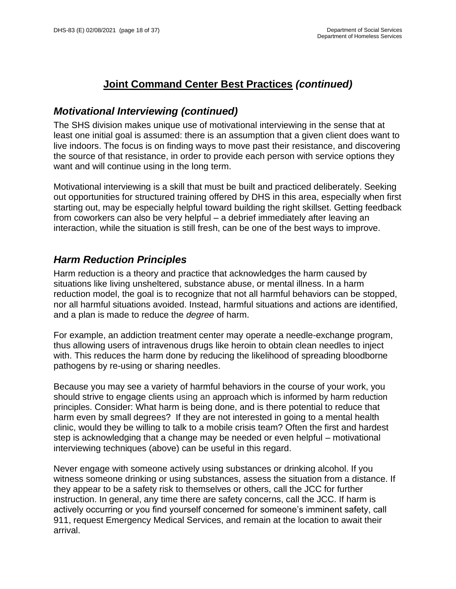### *Motivational Interviewing (continued)*

The SHS division makes unique use of motivational interviewing in the sense that at least one initial goal is assumed: there is an assumption that a given client does want to live indoors. The focus is on finding ways to move past their resistance, and discovering the source of that resistance, in order to provide each person with service options they want and will continue using in the long term.

Motivational interviewing is a skill that must be built and practiced deliberately. Seeking out opportunities for structured training offered by DHS in this area, especially when first starting out, may be especially helpful toward building the right skillset. Getting feedback from coworkers can also be very helpful – a debrief immediately after leaving an interaction, while the situation is still fresh, can be one of the best ways to improve.

### <span id="page-17-0"></span>*Harm Reduction Principles*

Harm reduction is a theory and practice that acknowledges the harm caused by situations like living unsheltered, substance abuse, or mental illness. In a harm reduction model, the goal is to recognize that not all harmful behaviors can be stopped, nor all harmful situations avoided. Instead, harmful situations and actions are identified, and a plan is made to reduce the *degree* of harm.

For example, an addiction treatment center may operate a needle-exchange program, thus allowing users of intravenous drugs like heroin to obtain clean needles to inject with. This reduces the harm done by reducing the likelihood of spreading bloodborne pathogens by re-using or sharing needles.

Because you may see a variety of harmful behaviors in the course of your work, you should strive to engage clients using an approach which is informed by harm reduction principles. Consider: What harm is being done, and is there potential to reduce that harm even by small degrees? If they are not interested in going to a mental health clinic, would they be willing to talk to a mobile crisis team? Often the first and hardest step is acknowledging that a change may be needed or even helpful – motivational interviewing techniques (above) can be useful in this regard.

Never engage with someone actively using substances or drinking alcohol. If you witness someone drinking or using substances, assess the situation from a distance. If they appear to be a safety risk to themselves or others, call the JCC for further instruction. In general, any time there are safety concerns, call the JCC. If harm is actively occurring or you find yourself concerned for someone's imminent safety, call 911, request Emergency Medical Services, and remain at the location to await their arrival.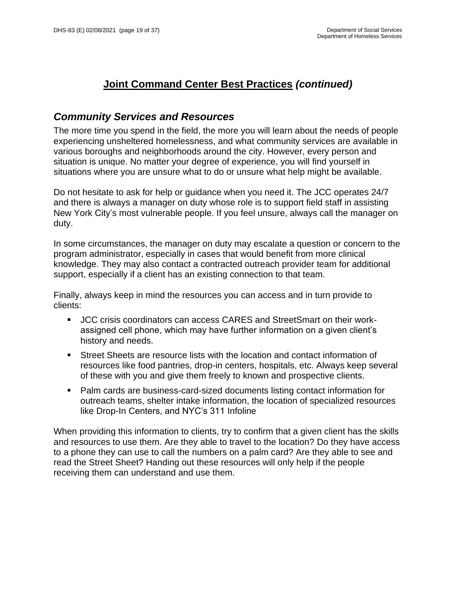### <span id="page-18-0"></span>*Community Services and Resources*

The more time you spend in the field, the more you will learn about the needs of people experiencing unsheltered homelessness, and what community services are available in various boroughs and neighborhoods around the city. However, every person and situation is unique. No matter your degree of experience, you will find yourself in situations where you are unsure what to do or unsure what help might be available.

Do not hesitate to ask for help or guidance when you need it. The JCC operates 24/7 and there is always a manager on duty whose role is to support field staff in assisting New York City's most vulnerable people. If you feel unsure, always call the manager on duty.

In some circumstances, the manager on duty may escalate a question or concern to the program administrator, especially in cases that would benefit from more clinical knowledge. They may also contact a contracted outreach provider team for additional support, especially if a client has an existing connection to that team.

Finally, always keep in mind the resources you can access and in turn provide to clients:

- JCC crisis coordinators can access CARES and StreetSmart on their workassigned cell phone, which may have further information on a given client's history and needs.
- Street Sheets are resource lists with the location and contact information of resources like food pantries, drop-in centers, hospitals, etc. Always keep several of these with you and give them freely to known and prospective clients.
- Palm cards are business-card-sized documents listing contact information for outreach teams, shelter intake information, the location of specialized resources like Drop-In Centers, and NYC's 311 Infoline

<span id="page-18-1"></span>When providing this information to clients, try to confirm that a given client has the skills and resources to use them. Are they able to travel to the location? Do they have access to a phone they can use to call the numbers on a palm card? Are they able to see and read the Street Sheet? Handing out these resources will only help if the people receiving them can understand and use them.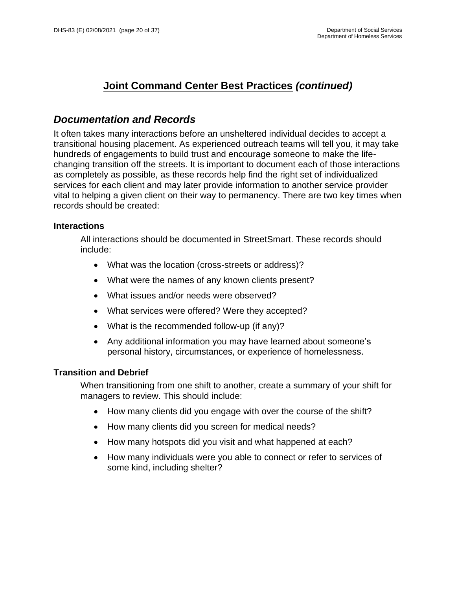### *Documentation and Records*

It often takes many interactions before an unsheltered individual decides to accept a transitional housing placement. As experienced outreach teams will tell you, it may take hundreds of engagements to build trust and encourage someone to make the lifechanging transition off the streets. It is important to document each of those interactions as completely as possible, as these records help find the right set of individualized services for each client and may later provide information to another service provider vital to helping a given client on their way to permanency. There are two key times when records should be created:

#### <span id="page-19-0"></span>**Interactions**

All interactions should be documented in StreetSmart. These records should include:

- What was the location (cross-streets or address)?
- What were the names of any known clients present?
- What issues and/or needs were observed?
- What services were offered? Were they accepted?
- What is the recommended follow-up (if any)?
- Any additional information you may have learned about someone's personal history, circumstances, or experience of homelessness.

### <span id="page-19-1"></span>**Transition and Debrief**

When transitioning from one shift to another, create a summary of your shift for managers to review. This should include:

- How many clients did you engage with over the course of the shift?
- How many clients did you screen for medical needs?
- How many hotspots did you visit and what happened at each?
- How many individuals were you able to connect or refer to services of some kind, including shelter?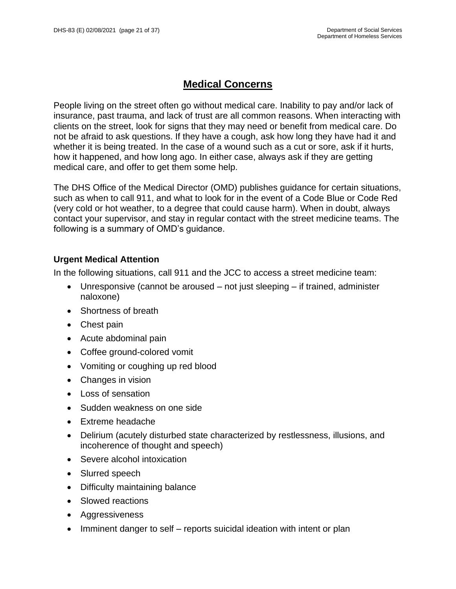# **Medical Concerns**

<span id="page-20-0"></span>People living on the street often go without medical care. Inability to pay and/or lack of insurance, past trauma, and lack of trust are all common reasons. When interacting with clients on the street, look for signs that they may need or benefit from medical care. Do not be afraid to ask questions. If they have a cough, ask how long they have had it and whether it is being treated. In the case of a wound such as a cut or sore, ask if it hurts, how it happened, and how long ago. In either case, always ask if they are getting medical care, and offer to get them some help.

The DHS Office of the Medical Director (OMD) publishes guidance for certain situations, such as when to call 911, and what to look for in the event of a Code Blue or Code Red (very cold or hot weather, to a degree that could cause harm). When in doubt, always contact your supervisor, and stay in regular contact with the street medicine teams. The following is a summary of OMD's guidance.

### <span id="page-20-1"></span>**Urgent Medical Attention**

In the following situations, call 911 and the JCC to access a street medicine team:

- Unresponsive (cannot be aroused not just sleeping if trained, administer naloxone)
- Shortness of breath
- Chest pain
- Acute abdominal pain
- Coffee ground-colored vomit
- Vomiting or coughing up red blood
- Changes in vision
- Loss of sensation
- Sudden weakness on one side
- Extreme headache
- Delirium (acutely disturbed state characterized by restlessness, illusions, and incoherence of thought and speech)
- Severe alcohol intoxication
- Slurred speech
- Difficulty maintaining balance
- Slowed reactions
- Aggressiveness
- Imminent danger to self reports suicidal ideation with intent or plan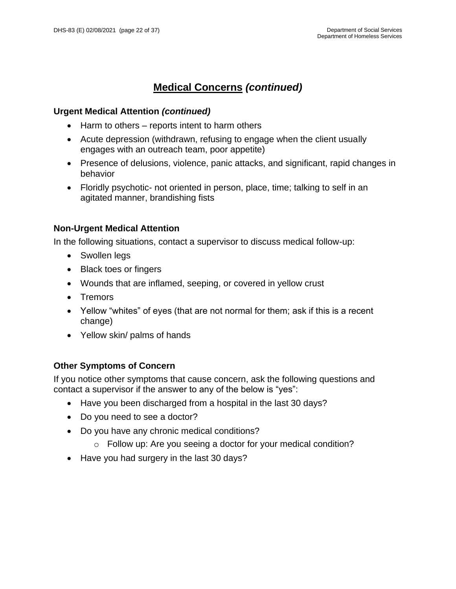#### **Urgent Medical Attention** *(continued)*

- Harm to others reports intent to harm others
- Acute depression (withdrawn, refusing to engage when the client usually engages with an outreach team, poor appetite)
- Presence of delusions, violence, panic attacks, and significant, rapid changes in behavior
- Floridly psychotic- not oriented in person, place, time; talking to self in an agitated manner, brandishing fists

### <span id="page-21-0"></span>**Non-Urgent Medical Attention**

In the following situations, contact a supervisor to discuss medical follow-up:

- Swollen legs
- Black toes or fingers
- Wounds that are inflamed, seeping, or covered in yellow crust
- Tremors
- Yellow "whites" of eyes (that are not normal for them; ask if this is a recent change)
- Yellow skin/ palms of hands

### <span id="page-21-1"></span>**Other Symptoms of Concern**

If you notice other symptoms that cause concern, ask the following questions and contact a supervisor if the answer to any of the below is "yes":

- Have you been discharged from a hospital in the last 30 days?
- Do you need to see a doctor?
- Do you have any chronic medical conditions?
	- o Follow up: Are you seeing a doctor for your medical condition?
- Have you had surgery in the last 30 days?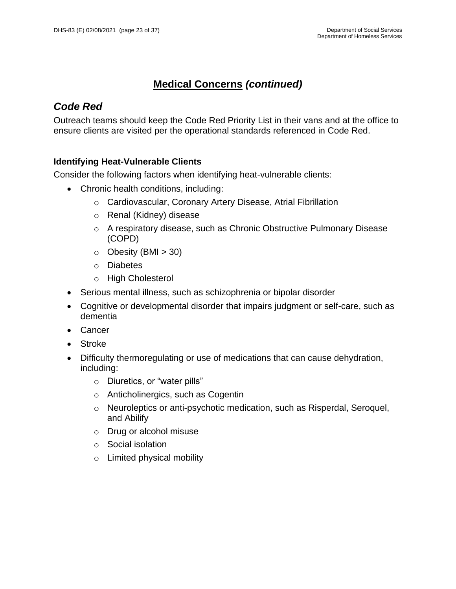### <span id="page-22-0"></span>*Code Red*

Outreach teams should keep the Code Red Priority List in their vans and at the office to ensure clients are visited per the operational standards referenced in Code Red.

### <span id="page-22-1"></span>**Identifying Heat-Vulnerable Clients**

Consider the following factors when identifying heat-vulnerable clients:

- Chronic health conditions, including:
	- o Cardiovascular, Coronary Artery Disease, Atrial Fibrillation
	- o Renal (Kidney) disease
	- o A respiratory disease, such as Chronic Obstructive Pulmonary Disease (COPD)
	- $\circ$  Obesity (BMI > 30)
	- o Diabetes
	- o High Cholesterol
- Serious mental illness, such as schizophrenia or bipolar disorder
- Cognitive or developmental disorder that impairs judgment or self-care, such as dementia
- Cancer
- Stroke
- <span id="page-22-2"></span>• Difficulty thermoregulating or use of medications that can cause dehydration, including:
	- o Diuretics, or "water pills"
	- o Anticholinergics, such as Cogentin
	- o Neuroleptics or anti-psychotic medication, such as Risperdal, Seroquel, and Abilify
	- o Drug or alcohol misuse
	- o Social isolation
	- o Limited physical mobility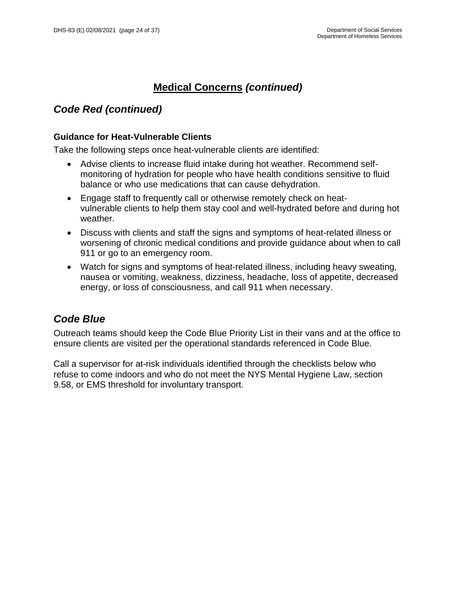# *Code Red (continued)*

### **Guidance for Heat-Vulnerable Clients**

Take the following steps once heat-vulnerable clients are identified:

- Advise clients to increase fluid intake during hot weather. Recommend selfmonitoring of hydration for people who have health conditions sensitive to fluid balance or who use medications that can cause dehydration.
- Engage staff to frequently call or otherwise remotely check on heatvulnerable clients to help them stay cool and well-hydrated before and during hot weather.
- Discuss with clients and staff the signs and symptoms of heat-related illness or worsening of chronic medical conditions and provide guidance about when to call 911 or go to an emergency room.
- Watch for signs and symptoms of heat-related illness, including heavy sweating, nausea or vomiting, weakness, dizziness, headache, loss of appetite, decreased energy, or loss of consciousness, and call 911 when necessary.

# <span id="page-23-0"></span>*Code Blue*

Outreach teams should keep the Code Blue Priority List in their vans and at the office to ensure clients are visited per the operational standards referenced in Code Blue.

<span id="page-23-1"></span>Call a supervisor for at-risk individuals identified through the checklists below who refuse to come indoors and who do not meet the NYS Mental Hygiene Law, section 9.58, or EMS threshold for involuntary transport.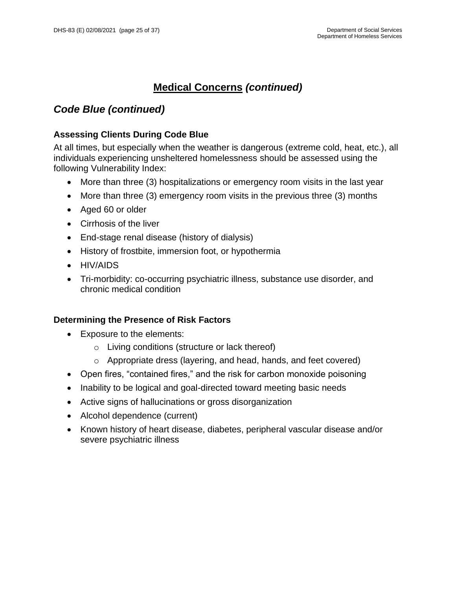# *Code Blue (continued)*

### **Assessing Clients During Code Blue**

At all times, but especially when the weather is dangerous (extreme cold, heat, etc.), all individuals experiencing unsheltered homelessness should be assessed using the following Vulnerability Index:

- More than three (3) hospitalizations or emergency room visits in the last year
- More than three (3) emergency room visits in the previous three (3) months
- Aged 60 or older
- Cirrhosis of the liver
- End-stage renal disease (history of dialysis)
- History of frostbite, immersion foot, or hypothermia
- HIV/AIDS
- Tri-morbidity: co-occurring psychiatric illness, substance use disorder, and chronic medical condition

### <span id="page-24-0"></span>**Determining the Presence of Risk Factors**

- Exposure to the elements:
	- o Living conditions (structure or lack thereof)
	- o Appropriate dress (layering, and head, hands, and feet covered)
- Open fires, "contained fires," and the risk for carbon monoxide poisoning
- Inability to be logical and goal-directed toward meeting basic needs
- Active signs of hallucinations or gross disorganization
- Alcohol dependence (current)
- <span id="page-24-1"></span>• Known history of heart disease, diabetes, peripheral vascular disease and/or severe psychiatric illness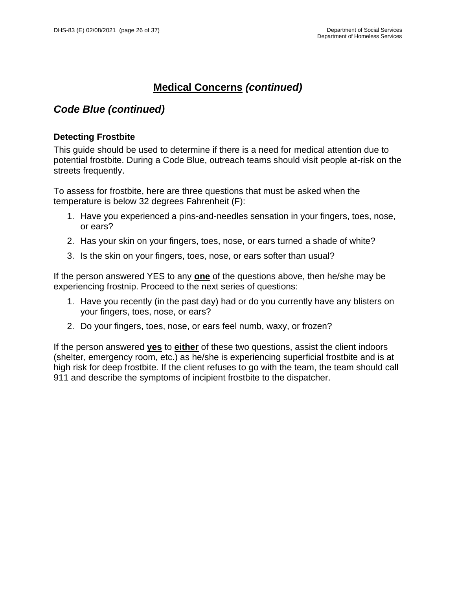### *Code Blue (continued)*

### **Detecting Frostbite**

This guide should be used to determine if there is a need for medical attention due to potential frostbite. During a Code Blue, outreach teams should visit people at-risk on the streets frequently.

To assess for frostbite, here are three questions that must be asked when the temperature is below 32 degrees Fahrenheit (F):

- 1. Have you experienced a pins-and-needles sensation in your fingers, toes, nose, or ears?
- 2. Has your skin on your fingers, toes, nose, or ears turned a shade of white?
- 3. Is the skin on your fingers, toes, nose, or ears softer than usual?

If the person answered YES to any **one** of the questions above, then he/she may be experiencing frostnip. Proceed to the next series of questions:

- 1. Have you recently (in the past day) had or do you currently have any blisters on your fingers, toes, nose, or ears?
- 2. Do your fingers, toes, nose, or ears feel numb, waxy, or frozen?

<span id="page-25-0"></span>If the person answered **yes** to **either** of these two questions, assist the client indoors (shelter, emergency room, etc.) as he/she is experiencing superficial frostbite and is at high risk for deep frostbite. If the client refuses to go with the team, the team should call 911 and describe the symptoms of incipient frostbite to the dispatcher.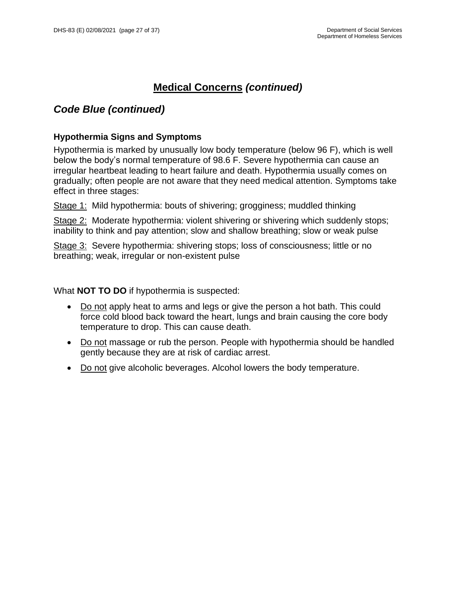### *Code Blue (continued)*

### **Hypothermia Signs and Symptoms**

Hypothermia is marked by unusually low body temperature (below 96 F), which is well below the body's normal temperature of 98.6 F. Severe hypothermia can cause an irregular heartbeat leading to heart failure and death. Hypothermia usually comes on gradually; often people are not aware that they need medical attention. Symptoms take effect in three stages:

Stage 1: Mild hypothermia: bouts of shivering; grogginess; muddled thinking

Stage 2: Moderate hypothermia: violent shivering or shivering which suddenly stops; inability to think and pay attention; slow and shallow breathing; slow or weak pulse

Stage 3: Severe hypothermia: shivering stops; loss of consciousness; little or no breathing; weak, irregular or non-existent pulse

What **NOT TO DO** if hypothermia is suspected:

- Do not apply heat to arms and legs or give the person a hot bath. This could force cold blood back toward the heart, lungs and brain causing the core body temperature to drop. This can cause death.
- Do not massage or rub the person. People with hypothermia should be handled gently because they are at risk of cardiac arrest.
- Do not give alcoholic beverages. Alcohol lowers the body temperature.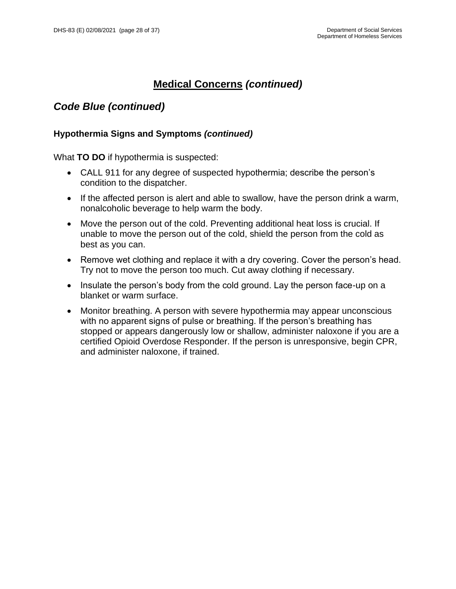### *Code Blue (continued)*

#### **Hypothermia Signs and Symptoms** *(continued)*

What **TO DO** if hypothermia is suspected:

- CALL 911 for any degree of suspected hypothermia; describe the person's condition to the dispatcher.
- If the affected person is alert and able to swallow, have the person drink a warm, nonalcoholic beverage to help warm the body.
- Move the person out of the cold. Preventing additional heat loss is crucial. If unable to move the person out of the cold, shield the person from the cold as best as you can.
- Remove wet clothing and replace it with a dry covering. Cover the person's head. Try not to move the person too much. Cut away clothing if necessary.
- Insulate the person's body from the cold ground. Lay the person face-up on a blanket or warm surface.
- Monitor breathing. A person with severe hypothermia may appear unconscious with no apparent signs of pulse or breathing. If the person's breathing has stopped or appears dangerously low or shallow, administer naloxone if you are a certified Opioid Overdose Responder. If the person is unresponsive, begin CPR, and administer naloxone, if trained.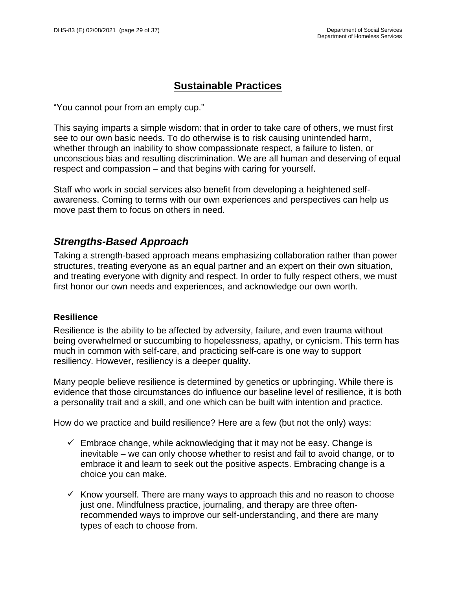### **Sustainable Practices**

<span id="page-28-0"></span>"You cannot pour from an empty cup."

This saying imparts a simple wisdom: that in order to take care of others, we must first see to our own basic needs. To do otherwise is to risk causing unintended harm, whether through an inability to show compassionate respect, a failure to listen, or unconscious bias and resulting discrimination. We are all human and deserving of equal respect and compassion – and that begins with caring for yourself.

Staff who work in social services also benefit from developing a heightened selfawareness. Coming to terms with our own experiences and perspectives can help us move past them to focus on others in need.

### <span id="page-28-1"></span>*Strengths-Based Approach*

Taking a strength-based approach means emphasizing collaboration rather than power structures, treating everyone as an equal partner and an expert on their own situation, and treating everyone with dignity and respect. In order to fully respect others, we must first honor our own needs and experiences, and acknowledge our own worth.

### <span id="page-28-2"></span>**Resilience**

Resilience is the ability to be affected by adversity, failure, and even trauma without being overwhelmed or succumbing to hopelessness, apathy, or cynicism. This term has much in common with self-care, and practicing self-care is one way to support resiliency. However, resiliency is a deeper quality.

Many people believe resilience is determined by genetics or upbringing. While there is evidence that those circumstances do influence our baseline level of resilience, it is both a personality trait and a skill, and one which can be built with intention and practice.

How do we practice and build resilience? Here are a few (but not the only) ways:

- $\checkmark$  Embrace change, while acknowledging that it may not be easy. Change is inevitable – we can only choose whether to resist and fail to avoid change, or to embrace it and learn to seek out the positive aspects. Embracing change is a choice you can make.
- $\checkmark$  Know yourself. There are many ways to approach this and no reason to choose just one. Mindfulness practice, journaling, and therapy are three oftenrecommended ways to improve our self-understanding, and there are many types of each to choose from.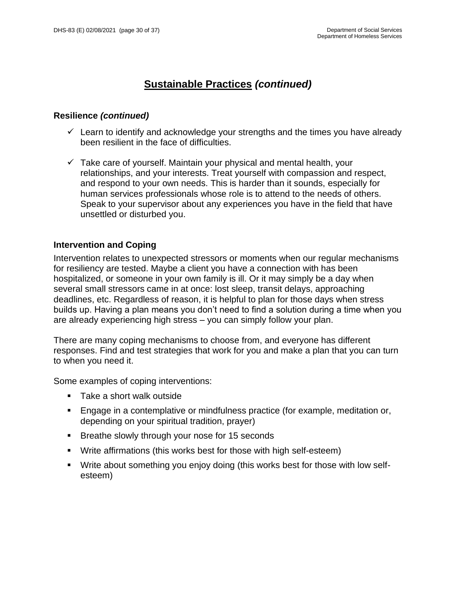### **Resilience** *(continued)*

- $\checkmark$  Learn to identify and acknowledge your strengths and the times you have already been resilient in the face of difficulties.
- $\checkmark$  Take care of yourself. Maintain your physical and mental health, your relationships, and your interests. Treat yourself with compassion and respect, and respond to your own needs. This is harder than it sounds, especially for human services professionals whose role is to attend to the needs of others. Speak to your supervisor about any experiences you have in the field that have unsettled or disturbed you.

### <span id="page-29-0"></span>**Intervention and Coping**

Intervention relates to unexpected stressors or moments when our regular mechanisms for resiliency are tested. Maybe a client you have a connection with has been hospitalized, or someone in your own family is ill. Or it may simply be a day when several small stressors came in at once: lost sleep, transit delays, approaching deadlines, etc. Regardless of reason, it is helpful to plan for those days when stress builds up. Having a plan means you don't need to find a solution during a time when you are already experiencing high stress – you can simply follow your plan.

There are many coping mechanisms to choose from, and everyone has different responses. Find and test strategies that work for you and make a plan that you can turn to when you need it.

Some examples of coping interventions:

- Take a short walk outside
- Engage in a contemplative or mindfulness practice (for example, meditation or, depending on your spiritual tradition, prayer)
- Breathe slowly through your nose for 15 seconds
- Write affirmations (this works best for those with high self-esteem)
- <span id="page-29-1"></span>▪ Write about something you enjoy doing (this works best for those with low selfesteem)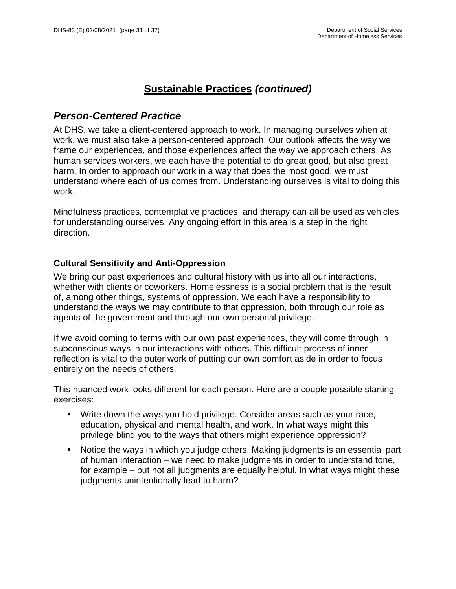### *Person-Centered Practice*

At DHS, we take a client-centered approach to work. In managing ourselves when at work, we must also take a person-centered approach. Our outlook affects the way we frame our experiences, and those experiences affect the way we approach others. As human services workers, we each have the potential to do great good, but also great harm. In order to approach our work in a way that does the most good, we must understand where each of us comes from. Understanding ourselves is vital to doing this work.

Mindfulness practices, contemplative practices, and therapy can all be used as vehicles for understanding ourselves. Any ongoing effort in this area is a step in the right direction.

### <span id="page-30-0"></span>**Cultural Sensitivity and Anti-Oppression**

We bring our past experiences and cultural history with us into all our interactions, whether with clients or coworkers. Homelessness is a social problem that is the result of, among other things, systems of oppression. We each have a responsibility to understand the ways we may contribute to that oppression, both through our role as agents of the government and through our own personal privilege.

If we avoid coming to terms with our own past experiences, they will come through in subconscious ways in our interactions with others. This difficult process of inner reflection is vital to the outer work of putting our own comfort aside in order to focus entirely on the needs of others.

This nuanced work looks different for each person. Here are a couple possible starting exercises:

- Write down the ways you hold privilege. Consider areas such as your race, education, physical and mental health, and work. In what ways might this privilege blind you to the ways that others might experience oppression?
- Notice the ways in which you judge others. Making judgments is an essential part of human interaction – we need to make judgments in order to understand tone, for example – but not all judgments are equally helpful. In what ways might these judgments unintentionally lead to harm?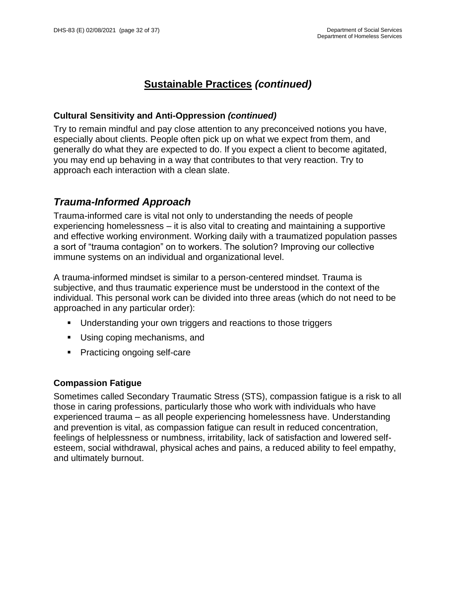### **Cultural Sensitivity and Anti-Oppression** *(continued)*

Try to remain mindful and pay close attention to any preconceived notions you have, especially about clients. People often pick up on what we expect from them, and generally do what they are expected to do. If you expect a client to become agitated, you may end up behaving in a way that contributes to that very reaction. Try to approach each interaction with a clean slate.

### <span id="page-31-0"></span>*Trauma-Informed Approach*

Trauma-informed care is vital not only to understanding the needs of people experiencing homelessness – it is also vital to creating and maintaining a supportive and effective working environment. Working daily with a traumatized population passes a sort of "trauma contagion" on to workers. The solution? Improving our collective immune systems on an individual and organizational level.

A trauma-informed mindset is similar to a person-centered mindset. Trauma is subjective, and thus traumatic experience must be understood in the context of the individual. This personal work can be divided into three areas (which do not need to be approached in any particular order):

- Understanding your own triggers and reactions to those triggers
- Using coping mechanisms, and
- Practicing ongoing self-care

### <span id="page-31-1"></span>**Compassion Fatigue**

Sometimes called Secondary Traumatic Stress (STS), compassion fatigue is a risk to all those in caring professions, particularly those who work with individuals who have experienced trauma – as all people experiencing homelessness have. Understanding and prevention is vital, as compassion fatigue can result in reduced concentration, feelings of helplessness or numbness, irritability, lack of satisfaction and lowered selfesteem, social withdrawal, physical aches and pains, a reduced ability to feel empathy, and ultimately burnout.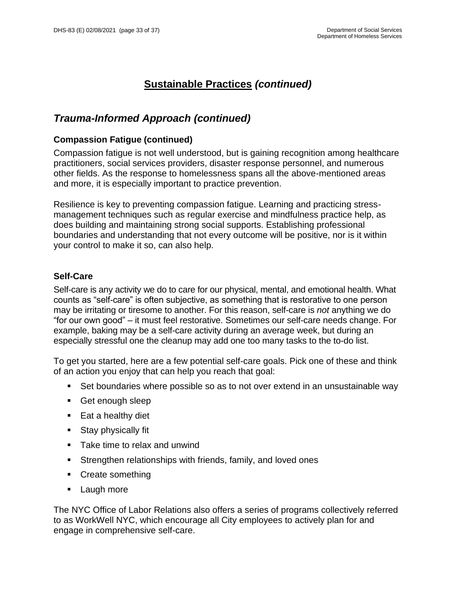### *Trauma-Informed Approach (continued)*

### **Compassion Fatigue (continued)**

Compassion fatigue is not well understood, but is gaining recognition among healthcare practitioners, social services providers, disaster response personnel, and numerous other fields. As the response to homelessness spans all the above-mentioned areas and more, it is especially important to practice prevention.

Resilience is key to preventing compassion fatigue. Learning and practicing stressmanagement techniques such as regular exercise and mindfulness practice help, as does building and maintaining strong social supports. Establishing professional boundaries and understanding that not every outcome will be positive, nor is it within your control to make it so, can also help.

### <span id="page-32-0"></span>**Self-Care**

Self-care is any activity we do to care for our physical, mental, and emotional health. What counts as "self-care" is often subjective, as something that is restorative to one person may be irritating or tiresome to another. For this reason, self-care is *not* anything we do "for our own good" – it must feel restorative. Sometimes our self-care needs change. For example, baking may be a self-care activity during an average week, but during an especially stressful one the cleanup may add one too many tasks to the to-do list.

To get you started, here are a few potential self-care goals. Pick one of these and think of an action you enjoy that can help you reach that goal:

- Set boundaries where possible so as to not over extend in an unsustainable way
- Get enough sleep
- Eat a healthy diet
- Stay physically fit
- Take time to relax and unwind
- **EXTERGHMEN** FRIENCIONSHIPS with friends, family, and loved ones
- Create something
- Laugh more

The NYC Office of Labor Relations also offers a series of programs collectively referred to as WorkWell NYC, which encourage all City employees to actively plan for and engage in comprehensive self-care.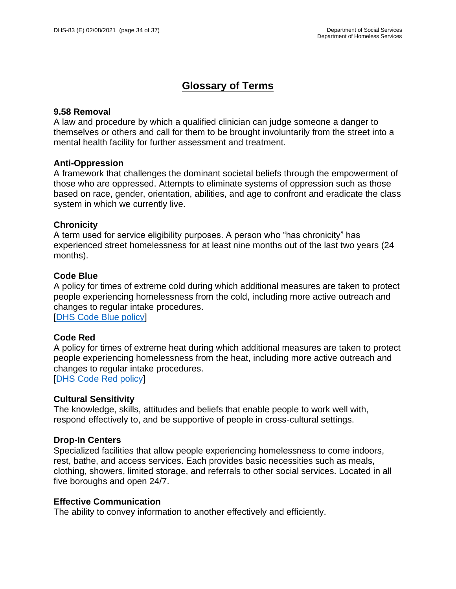# **Glossary of Terms**

#### <span id="page-33-0"></span>**9.58 Removal**

A law and procedure by which a qualified clinician can judge someone a danger to themselves or others and call for them to be brought involuntarily from the street into a mental health facility for further assessment and treatment.

#### **Anti-Oppression**

A framework that challenges the dominant societal beliefs through the empowerment of those who are oppressed. Attempts to eliminate systems of oppression such as those based on race, gender, orientation, abilities, and age to confront and eradicate the class system in which we currently live.

#### **Chronicity**

A term used for service eligibility purposes. A person who "has chronicity" has experienced street homelessness for at least nine months out of the last two years (24 months).

### **Code Blue**

A policy for times of extreme cold during which additional measures are taken to protect people experiencing homelessness from the cold, including more active outreach and changes to regular intake procedures. [\[DHS Code Blue policy\]](http://hraedocs.hra.nycnet/HRAeDocs/DocumentFunctions/DocumentDirectAccess.aspx?DocId=fc94fa1a-a494-44b1-8330-7c93660d8051)

### **Code Red**

A policy for times of extreme heat during which additional measures are taken to protect people experiencing homelessness from the heat, including more active outreach and changes to regular intake procedures. [\[DHS Code Red policy\]](https://hraedocs.hra.nycnet/HRAeDocs/DocumentFunctions/DocumentDirectAccess.aspx?DocId=15ccaf80-3756-4bfd-9095-2cb125593dbd&CategoryId=31&FileType=pdf)

#### **Cultural Sensitivity**

The knowledge, skills, attitudes and beliefs that enable people to work well with, respond effectively to, and be supportive of people in cross-cultural settings.

#### **Drop-In Centers**

Specialized facilities that allow people experiencing homelessness to come indoors, rest, bathe, and access services. Each provides basic necessities such as meals, clothing, showers, limited storage, and referrals to other social services. Located in all five boroughs and open 24/7.

#### **Effective Communication**

The ability to convey information to another effectively and efficiently.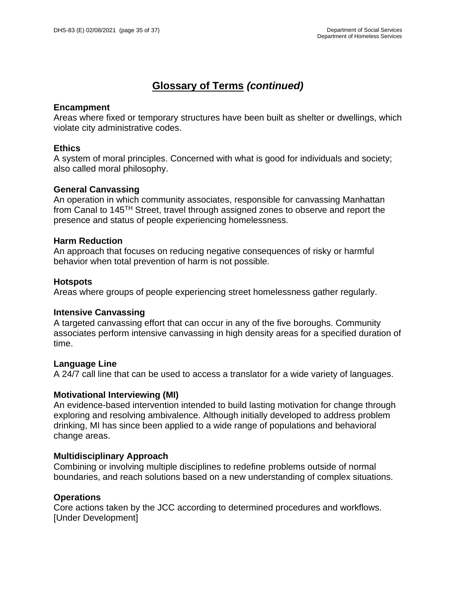# **Glossary of Terms** *(continued)*

#### **Encampment**

Areas where fixed or temporary structures have been built as shelter or dwellings, which violate city administrative codes.

#### **Ethics**

A system of moral principles. Concerned with what is good for individuals and society; also called moral philosophy.

#### **General Canvassing**

An operation in which community associates, responsible for canvassing Manhattan from Canal to 145TH Street, travel through assigned zones to observe and report the presence and status of people experiencing homelessness.

#### **Harm Reduction**

An approach that focuses on reducing negative consequences of risky or harmful behavior when total prevention of harm is not possible.

#### **Hotspots**

Areas where groups of people experiencing street homelessness gather regularly.

#### **Intensive Canvassing**

A targeted canvassing effort that can occur in any of the five boroughs. Community associates perform intensive canvassing in high density areas for a specified duration of time.

#### **Language Line**

A 24/7 call line that can be used to access a translator for a wide variety of languages.

#### **Motivational Interviewing (MI)**

An evidence-based intervention intended to build lasting motivation for change through exploring and resolving ambivalence. Although initially developed to address problem drinking, MI has since been applied to a wide range of populations and behavioral change areas.

#### **Multidisciplinary Approach**

Combining or involving multiple disciplines to redefine problems outside of normal boundaries, and reach solutions based on a new understanding of complex situations.

#### **Operations**

Core actions taken by the JCC according to determined procedures and workflows. [Under Development]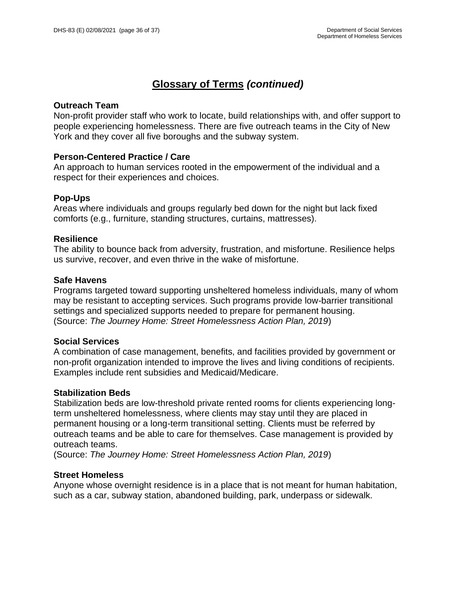# **Glossary of Terms** *(continued)*

#### **Outreach Team**

Non-profit provider staff who work to locate, build relationships with, and offer support to people experiencing homelessness. There are five outreach teams in the City of New York and they cover all five boroughs and the subway system.

#### **Person-Centered Practice / Care**

An approach to human services rooted in the empowerment of the individual and a respect for their experiences and choices.

#### **Pop-Ups**

Areas where individuals and groups regularly bed down for the night but lack fixed comforts (e.g., furniture, standing structures, curtains, mattresses).

#### **Resilience**

The ability to bounce back from adversity, frustration, and misfortune. Resilience helps us survive, recover, and even thrive in the wake of misfortune.

#### **Safe Havens**

Programs targeted toward supporting unsheltered homeless individuals, many of whom may be resistant to accepting services. Such programs provide low-barrier transitional settings and specialized supports needed to prepare for permanent housing. (Source: *The Journey Home: Street Homelessness Action Plan, 2019*)

#### **Social Services**

A combination of case management, benefits, and facilities provided by government or non-profit organization intended to improve the lives and living conditions of recipients. Examples include rent subsidies and Medicaid/Medicare.

#### **Stabilization Beds**

Stabilization beds are low-threshold private rented rooms for clients experiencing longterm unsheltered homelessness, where clients may stay until they are placed in permanent housing or a long-term transitional setting. Clients must be referred by outreach teams and be able to care for themselves. Case management is provided by outreach teams.

(Source: *The Journey Home: Street Homelessness Action Plan, 2019*)

#### **Street Homeless**

Anyone whose overnight residence is in a place that is not meant for human habitation, such as a car, subway station, abandoned building, park, underpass or sidewalk.